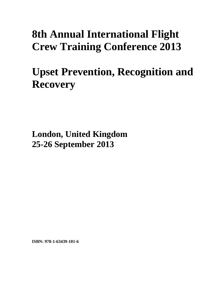# **8th Annual International Flight Crew Training Conference 2013**

# **Upset Prevention, Recognition and Recovery**

**London, United Kingdom 25-26 September 2013**

**ISBN: 978-1-63439-101-6**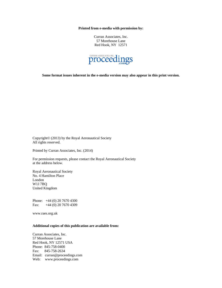**Printed from e-media with permission by:** 

Curran Associates, Inc. 57 Morehouse Lane Red Hook, NY 12571



**Some format issues inherent in the e-media version may also appear in this print version.** 

Copyright© (2013) by the Royal Aeronautical Society All rights reserved.

Printed by Curran Associates, Inc. (2014)

For permission requests, please contact the Royal Aeronautical Society at the address below.

Royal Aeronautical Society No. 4 Hamilton Place London W1J 7BQ United Kingdom

Phone: +44 (0) 20 7670 4300 Fax: +44 (0) 20 7670 4309

www.raes.org.uk

#### **Additional copies of this publication are available from:**

Curran Associates, Inc. 57 Morehouse Lane Red Hook, NY 12571 USA Phone: 845-758-0400 Fax: 845-758-2634 Email: curran@proceedings.com Web: www.proceedings.com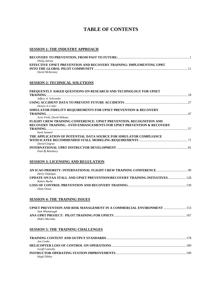# **TABLE OF CONTENTS**

### **SESSION 1: THE INDUSTRY APPROACH**

| Philip Adrian                                                       |             |
|---------------------------------------------------------------------|-------------|
| EFFECTIVE UPSET PREVENTION AND RECOVERY TRAINING: IMPLEMENTING UPRT |             |
|                                                                     | $\sqrt{11}$ |
| David McKenney                                                      |             |

#### **SESSION 2: TECHNICAL SOLUTIONS**

| FREQUENTLY ASKED QUESTIONS ON RESEARCH AND TECHNOLOGY FOR UPSET            |  |
|----------------------------------------------------------------------------|--|
|                                                                            |  |
| Jeffery A. Schroeder                                                       |  |
|                                                                            |  |
| Dennis A Crider                                                            |  |
| <b>SIMULATOR FIDELITY REQUIREMENTS FOR UPSET PREVENTION &amp; RECOVERY</b> |  |
|                                                                            |  |
| Joris Field, David Shikany                                                 |  |
| <b>FLIGHT CREW TRAINING CONFERENCE: UPSET PREVENTION, RECOGNITION AND</b>  |  |
| RECOVERY TRAINING - FSTD ENHANCEMENTS FOR UPSET PREVENTION & RECOVERY      |  |
|                                                                            |  |
| Itash Samani                                                               |  |
| THE APPLICATION OF POTENTIAL DATA SOURCE FOR SIMULATOR COMPLIANCE          |  |
|                                                                            |  |
| David Gingras                                                              |  |
|                                                                            |  |
| Paul Bj Ransbury                                                           |  |

#### **SESSION 3: LICENSING AND REGULATION**

| Henry Defalque |  |
|----------------|--|
|                |  |
| Robert Burke   |  |
|                |  |
| Daan Dousi     |  |

#### **SESSION 4: THE TRAINING ISSUES**

| UPSET PREVENTION AND RISK MANAGEMENT IN A COMMERCIAL ENVIRONMENT  153 |  |
|-----------------------------------------------------------------------|--|
| Sam Whatmough                                                         |  |
|                                                                       |  |
| Hideo Morioka                                                         |  |

#### **SESSION 5: THE TRAINING CHALLENGES**

| Jon Cooke             |  |
|-----------------------|--|
|                       |  |
| <b>Geoff Connolly</b> |  |
|                       |  |
| Hugh Dibley           |  |